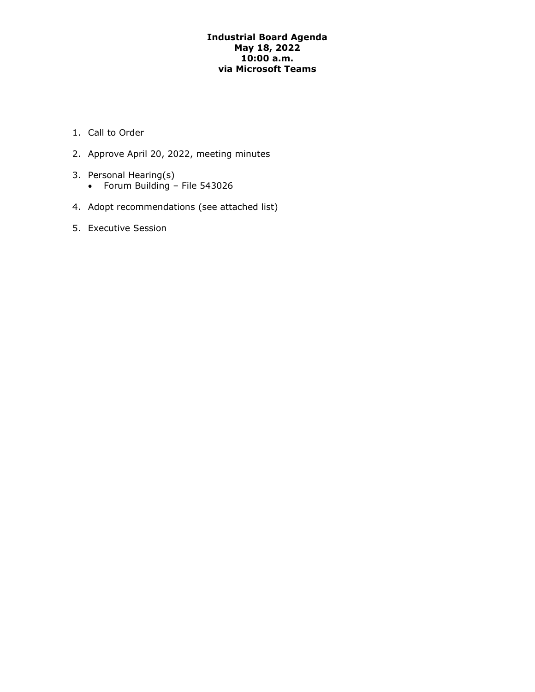## **Industrial Board Agenda May 18, 2022 10:00 a.m. via Microsoft Teams**

- 1. Call to Order
- 2. Approve April 20, 2022, meeting minutes
- 3. Personal Hearing(s) • Forum Building – File 543026
- 4. Adopt recommendations (see attached list)
- 5. Executive Session